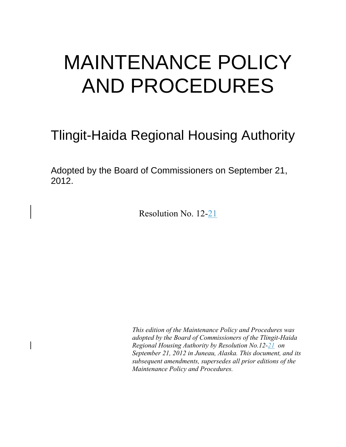# MAINTENANCE POLICY AND PROCEDURES

## Tlingit-Haida Regional Housing Authority

Adopted by the Board of Commissioners on September 21, 2012.

Resolution No. 12-21

*This edition of the Maintenance Policy and Procedures was adopted by the Board of Commissioners of the Tlingit-Haida Regional Housing Authority by Resolution No.12-21 on September 21, 2012 in Juneau, Alaska. This document, and its subsequent amendments, supersedes all prior editions of the Maintenance Policy and Procedures.*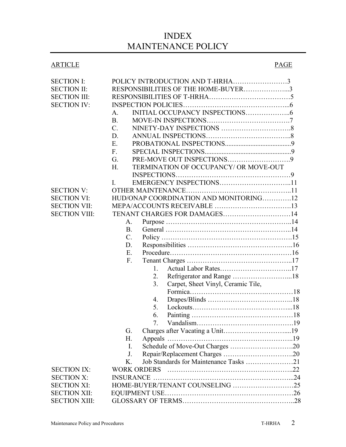### INDEX MAINTENANCE POLICY

#### ARTICLE PAGE

| <b>SECTION I:</b>    | POLICY INTRODUCTION AND T-HRHA3              |  |
|----------------------|----------------------------------------------|--|
| <b>SECTION II:</b>   | RESPONSIBILITIES OF THE HOME-BUYER3          |  |
| <b>SECTION III:</b>  |                                              |  |
| <b>SECTION IV:</b>   |                                              |  |
|                      | A.                                           |  |
|                      | B <sub>r</sub>                               |  |
|                      | $C_{\cdot}$                                  |  |
|                      | D.                                           |  |
|                      | E.                                           |  |
|                      | $F_{\cdot}$                                  |  |
|                      | G.                                           |  |
|                      | TERMINATION OF OCCUPANCY/ OR MOVE-OUT<br>H.  |  |
|                      |                                              |  |
|                      | L                                            |  |
| <b>SECTION V:</b>    |                                              |  |
| <b>SECTION VI:</b>   | HUD/ONAP COORDINATION AND MONITORING12       |  |
| <b>SECTION VII:</b>  |                                              |  |
| <b>SECTION VIII:</b> |                                              |  |
|                      | A.                                           |  |
|                      | <b>B.</b>                                    |  |
|                      | $\mathcal{C}$ .                              |  |
|                      | D.                                           |  |
|                      | E.                                           |  |
|                      | $F_{\cdot}$                                  |  |
|                      | 1.                                           |  |
|                      | Refrigerator and Range 18<br>2.              |  |
|                      | 3.<br>Carpet, Sheet Vinyl, Ceramic Tile,     |  |
|                      |                                              |  |
|                      | 4.                                           |  |
|                      | 5.                                           |  |
|                      | 6.                                           |  |
|                      | 7.                                           |  |
|                      | G.                                           |  |
|                      | Н.<br>Appeals.                               |  |
|                      | $\mathbf{I}$ .                               |  |
|                      | J.                                           |  |
|                      | Job Standards for Maintenance Tasks 21<br>K. |  |
| <b>SECTION IX:</b>   | <b>WORK ORDERS</b>                           |  |
| <b>SECTION X:</b>    |                                              |  |
| <b>SECTION XI:</b>   | HOME-BUYER/TENANT COUNSELING 25              |  |
| <b>SECTION XII:</b>  |                                              |  |
| <b>SECTION XIII:</b> |                                              |  |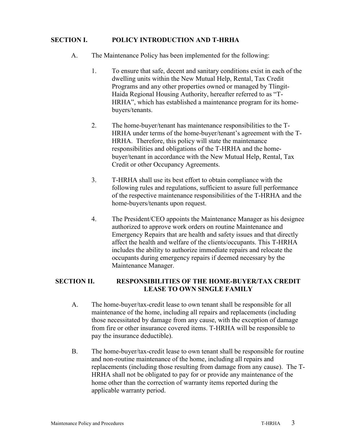#### **SECTION I. POLICY INTRODUCTION AND T-HRHA**

- A. The Maintenance Policy has been implemented for the following:
	- 1. To ensure that safe, decent and sanitary conditions exist in each of the dwelling units within the New Mutual Help, Rental, Tax Credit Programs and any other properties owned or managed by Tlingit-Haida Regional Housing Authority, hereafter referred to as "T-HRHA", which has established a maintenance program for its homebuyers/tenants.
	- 2. The home-buyer/tenant has maintenance responsibilities to the T-HRHA under terms of the home-buyer/tenant's agreement with the T-HRHA. Therefore, this policy will state the maintenance responsibilities and obligations of the T-HRHA and the homebuyer/tenant in accordance with the New Mutual Help, Rental, Tax Credit or other Occupancy Agreements.
	- 3. T-HRHA shall use its best effort to obtain compliance with the following rules and regulations, sufficient to assure full performance of the respective maintenance responsibilities of the T-HRHA and the home-buyers/tenants upon request.
	- 4. The President/CEO appoints the Maintenance Manager as his designee authorized to approve work orders on routine Maintenance and Emergency Repairs that are health and safety issues and that directly affect the health and welfare of the clients/occupants. This T-HRHA includes the ability to authorize immediate repairs and relocate the occupants during emergency repairs if deemed necessary by the Maintenance Manager.

#### **SECTION II. RESPONSIBILITIES OF THE HOME-BUYER/TAX CREDIT LEASE TO OWN SINGLE FAMILY**

- A. The home-buyer/tax-credit lease to own tenant shall be responsible for all maintenance of the home, including all repairs and replacements (including those necessitated by damage from any cause, with the exception of damage from fire or other insurance covered items. T-HRHA will be responsible to pay the insurance deductible).
- B. The home-buyer/tax-credit lease to own tenant shall be responsible for routine and non-routine maintenance of the home, including all repairs and replacements (including those resulting from damage from any cause). The T-HRHA shall not be obligated to pay for or provide any maintenance of the home other than the correction of warranty items reported during the applicable warranty period.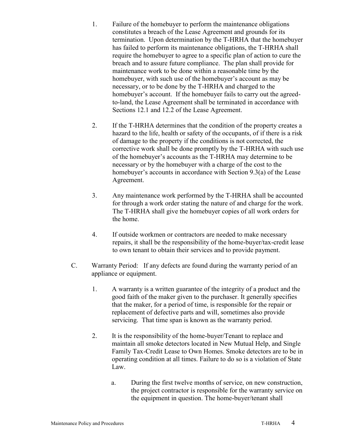- 1. Failure of the homebuyer to perform the maintenance obligations constitutes a breach of the Lease Agreement and grounds for its termination. Upon determination by the T-HRHA that the homebuyer has failed to perform its maintenance obligations, the T-HRHA shall require the homebuyer to agree to a specific plan of action to cure the breach and to assure future compliance. The plan shall provide for maintenance work to be done within a reasonable time by the homebuyer, with such use of the homebuyer's account as may be necessary, or to be done by the T-HRHA and charged to the homebuyer's account. If the homebuyer fails to carry out the agreedto-land, the Lease Agreement shall be terminated in accordance with Sections 12.1 and 12.2 of the Lease Agreement.
- 2. If the T-HRHA determines that the condition of the property creates a hazard to the life, health or safety of the occupants, of if there is a risk of damage to the property if the conditions is not corrected, the corrective work shall be done promptly by the T-HRHA with such use of the homebuyer's accounts as the T-HRHA may determine to be necessary or by the homebuyer with a charge of the cost to the homebuyer's accounts in accordance with Section 9.3(a) of the Lease Agreement.
- 3. Any maintenance work performed by the T-HRHA shall be accounted for through a work order stating the nature of and charge for the work. The T-HRHA shall give the homebuyer copies of all work orders for the home.
- 4. If outside workmen or contractors are needed to make necessary repairs, it shall be the responsibility of the home-buyer/tax-credit lease to own tenant to obtain their services and to provide payment.
- C. Warranty Period: If any defects are found during the warranty period of an appliance or equipment.
	- 1. A warranty is a written guarantee of the integrity of a product and the good faith of the maker given to the purchaser. It generally specifies that the maker, for a period of time, is responsible for the repair or replacement of defective parts and will, sometimes also provide servicing. That time span is known as the warranty period.
	- 2. It is the responsibility of the home-buyer/Tenant to replace and maintain all smoke detectors located in New Mutual Help, and Single Family Tax-Credit Lease to Own Homes. Smoke detectors are to be in operating condition at all times. Failure to do so is a violation of State Law.
		- a. During the first twelve months of service, on new construction, the project contractor is responsible for the warranty service on the equipment in question. The home-buyer/tenant shall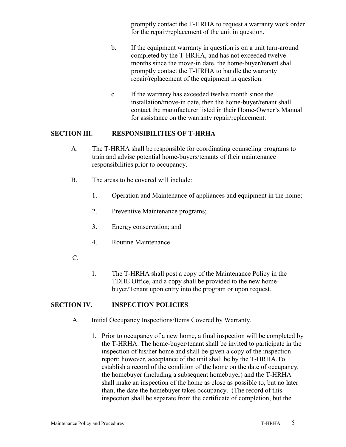promptly contact the T-HRHA to request a warranty work order for the repair/replacement of the unit in question.

- b. If the equipment warranty in question is on a unit turn-around completed by the T-HRHA, and has not exceeded twelve months since the move-in date, the home-buyer/tenant shall promptly contact the T-HRHA to handle the warranty repair/replacement of the equipment in question.
- c. If the warranty has exceeded twelve month since the installation/move-in date, then the home-buyer/tenant shall contact the manufacturer listed in their Home-Owner's Manual for assistance on the warranty repair/replacement.

#### **SECTION III. RESPONSIBILITIES OF T-HRHA**

- A. The T-HRHA shall be responsible for coordinating counseling programs to train and advise potential home-buyers/tenants of their maintenance responsibilities prior to occupancy.
- B. The areas to be covered will include:
	- 1. Operation and Maintenance of appliances and equipment in the home;
	- 2. Preventive Maintenance programs;
	- 3. Energy conservation; and
	- 4. Routine Maintenance
- C.
- 1. The T-HRHA shall post a copy of the Maintenance Policy in the TDHE Office, and a copy shall be provided to the new homebuyer/Tenant upon entry into the program or upon request.

#### **SECTION IV. INSPECTION POLICIES**

- A. Initial Occupancy Inspections/Items Covered by Warranty.
	- 1. Prior to occupancy of a new home, a final inspection will be completed by the T-HRHA. The home-buyer/tenant shall be invited to participate in the inspection of his/her home and shall be given a copy of the inspection report; however, acceptance of the unit shall be by the T-HRHA.To establish a record of the condition of the home on the date of occupancy, the homebuyer (including a subsequent homebuyer) and the T-HRHA shall make an inspection of the home as close as possible to, but no later than, the date the homebuyer takes occupancy. (The record of this inspection shall be separate from the certificate of completion, but the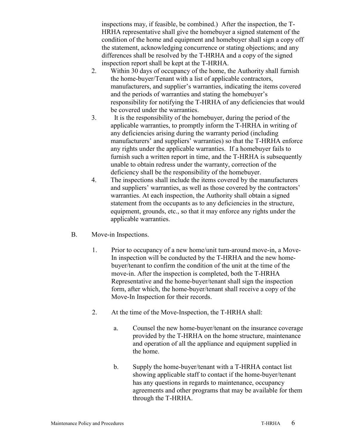inspections may, if feasible, be combined.) After the inspection, the T-HRHA representative shall give the homebuyer a signed statement of the condition of the home and equipment and homebuyer shall sign a copy off the statement, acknowledging concurrence or stating objections; and any differences shall be resolved by the T-HRHA and a copy of the signed inspection report shall be kept at the T-HRHA.

- 2. Within 30 days of occupancy of the home, the Authority shall furnish the home-buyer/Tenant with a list of applicable contractors, manufacturers, and supplier's warranties, indicating the items covered and the periods of warranties and stating the homebuyer's responsibility for notifying the T-HRHA of any deficiencies that would be covered under the warranties.
- 3. It is the responsibility of the homebuyer, during the period of the applicable warranties, to promptly inform the T-HRHA in writing of any deficiencies arising during the warranty period (including manufacturers' and suppliers' warranties) so that the T-HRHA enforce any rights under the applicable warranties. If a homebuyer fails to furnish such a written report in time, and the T-HRHA is subsequently unable to obtain redress under the warranty, correction of the deficiency shall be the responsibility of the homebuyer.
- 4. The inspections shall include the items covered by the manufacturers and suppliers' warranties, as well as those covered by the contractors' warranties. At each inspection, the Authority shall obtain a signed statement from the occupants as to any deficiencies in the structure, equipment, grounds, etc., so that it may enforce any rights under the applicable warranties.
- B. Move-in Inspections.
	- 1. Prior to occupancy of a new home/unit turn-around move-in, a Move-In inspection will be conducted by the T-HRHA and the new homebuyer/tenant to confirm the condition of the unit at the time of the move-in. After the inspection is completed, both the T-HRHA Representative and the home-buyer/tenant shall sign the inspection form, after which, the home-buyer/tenant shall receive a copy of the Move-In Inspection for their records.
	- 2. At the time of the Move-Inspection, the T-HRHA shall:
		- a. Counsel the new home-buyer/tenant on the insurance coverage provided by the T-HRHA on the home structure, maintenance and operation of all the appliance and equipment supplied in the home.
		- b. Supply the home-buyer/tenant with a T-HRHA contact list showing applicable staff to contact if the home-buyer/tenant has any questions in regards to maintenance, occupancy agreements and other programs that may be available for them through the T-HRHA.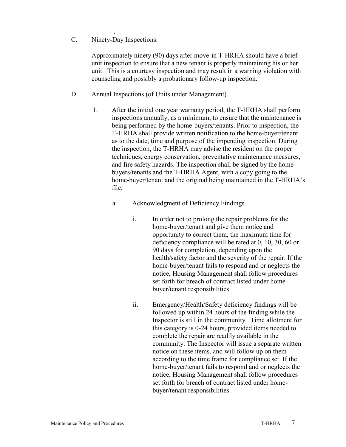. C. Ninety-Day Inspections.

> Approximately ninety (90) days after move-in T-HRHA should have a brief unit inspection to ensure that a new tenant is properly maintaining his or her unit. This is a courtesy inspection and may result in a warning violation with counseling and possibly a probationary follow-up inspection.

- D. Annual Inspections (of Units under Management).
	- 1. After the initial one year warranty period, the T-HRHA shall perform inspections annually, as a minimum, to ensure that the maintenance is being performed by the home-buyers/tenants. Prior to inspection, the T-HRHA shall provide written notification to the home-buyer/tenant as to the date, time and purpose of the impending inspection. During the inspection, the T-HRHA may advise the resident on the proper techniques, energy conservation, preventative maintenance measures, and fire safety hazards. The inspection shall be signed by the homebuyers/tenants and the T-HRHA Agent, with a copy going to the home-buyer/tenant and the original being maintained in the T-HRHA's file.
		- a. Acknowledgment of Deficiency Findings.
			- i. In order not to prolong the repair problems for the home-buyer/tenant and give them notice and opportunity to correct them, the maximum time for deficiency compliance will be rated at 0, 10, 30, 60 or 90 days for completion, depending upon the health/safety factor and the severity of the repair. If the home-buyer/tenant fails to respond and or neglects the notice, Housing Management shall follow procedures set forth for breach of contract listed under homebuyer/tenant responsibilities
			- ii. Emergency/Health/Safety deficiency findings will be followed up within 24 hours of the finding while the Inspector is still in the community. Time allotment for this category is 0-24 hours, provided items needed to complete the repair are readily available in the community. The Inspector will issue a separate written notice on these items, and will follow up on them according to the time frame for compliance set. If the home-buyer/tenant fails to respond and or neglects the notice, Housing Management shall follow procedures set forth for breach of contract listed under homebuyer/tenant responsibilities.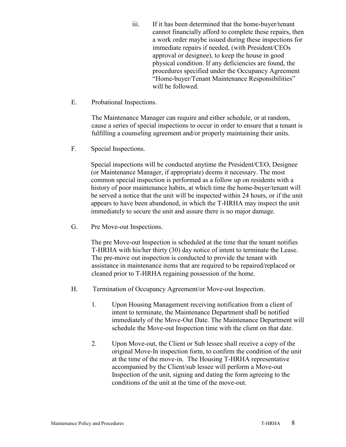- iii. If it has been determined that the home-buyer/tenant cannot financially afford to complete these repairs, then a work order maybe issued during these inspections for immediate repairs if needed, (with President/CEOs approval or designee), to keep the house in good physical condition. If any deficiencies are found, the procedures specified under the Occupancy Agreement "Home-buyer/Tenant Maintenance Responsibilities" will be followed.
- E. Probational Inspections.

The Maintenance Manager can require and either schedule, or at random, cause a series of special inspections to occur in order to ensure that a tenant is fulfilling a counseling agreement and/or properly maintaining their units.

F. Special Inspections.

Special inspections will be conducted anytime the President/CEO, Designee (or Maintenance Manager, if appropriate) deems it necessary. The most common special inspection is performed as a follow up on residents with a history of poor maintenance habits, at which time the home-buyer/tenant will be served a notice that the unit will be inspected within 24 hours, or if the unit appears to have been abandoned, in which the T-HRHA may inspect the unit immediately to secure the unit and assure there is no major damage.

G. Pre Move-out Inspections.

The pre Move-out Inspection is scheduled at the time that the tenant notifies T-HRHA with his/her thirty (30) day notice of intent to terminate the Lease. The pre-move out inspection is conducted to provide the tenant with assistance in maintenance items that are required to be repaired/replaced or cleaned prior to T-HRHA regaining possession of the home.

- H. Termination of Occupancy Agreement/or Move-out Inspection.
	- 1. Upon Housing Management receiving notification from a client of intent to terminate, the Maintenance Department shall be notified immediately of the Move-Out Date. The Maintenance Department will schedule the Move-out Inspection time with the client on that date.
	- 2. Upon Move-out, the Client or Sub lessee shall receive a copy of the original Move-In inspection form, to confirm the condition of the unit at the time of the move-in. The Housing T-HRHA representative accompanied by the Client/sub lessee will perform a Move-out Inspection of the unit, signing and dating the form agreeing to the conditions of the unit at the time of the move-out.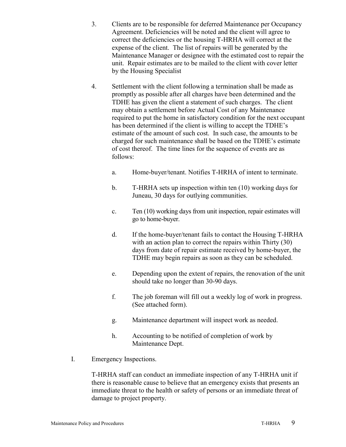- 3. Clients are to be responsible for deferred Maintenance per Occupancy Agreement. Deficiencies will be noted and the client will agree to correct the deficiencies or the housing T-HRHA will correct at the expense of the client. The list of repairs will be generated by the Maintenance Manager or designee with the estimated cost to repair the unit. Repair estimates are to be mailed to the client with cover letter by the Housing Specialist
- 4. Settlement with the client following a termination shall be made as promptly as possible after all charges have been determined and the TDHE has given the client a statement of such charges. The client may obtain a settlement before Actual Cost of any Maintenance required to put the home in satisfactory condition for the next occupant has been determined if the client is willing to accept the TDHE's estimate of the amount of such cost. In such case, the amounts to be charged for such maintenance shall be based on the TDHE's estimate of cost thereof. The time lines for the sequence of events are as follows:
	- a. Home-buyer/tenant. Notifies T-HRHA of intent to terminate.
	- b. T-HRHA sets up inspection within ten (10) working days for Juneau, 30 days for outlying communities.
	- c. Ten (10) working days from unit inspection, repair estimates will go to home-buyer.
	- d. If the home-buyer/tenant fails to contact the Housing T-HRHA with an action plan to correct the repairs within Thirty (30) days from date of repair estimate received by home-buyer, the TDHE may begin repairs as soon as they can be scheduled.
	- e. Depending upon the extent of repairs, the renovation of the unit should take no longer than 30-90 days.
	- f. The job foreman will fill out a weekly log of work in progress. (See attached form).
	- g. Maintenance department will inspect work as needed.
	- h. Accounting to be notified of completion of work by Maintenance Dept.
- I. Emergency Inspections.

T-HRHA staff can conduct an immediate inspection of any T-HRHA unit if there is reasonable cause to believe that an emergency exists that presents an immediate threat to the health or safety of persons or an immediate threat of damage to project property.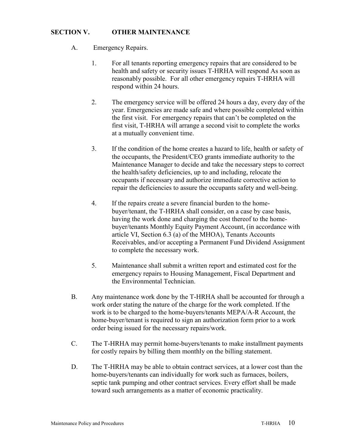#### **SECTION V. OTHER MAINTENANCE**

- A. Emergency Repairs.
	- 1. For all tenants reporting emergency repairs that are considered to be health and safety or security issues T-HRHA will respond As soon as reasonably possible. For all other emergency repairs T-HRHA will respond within 24 hours.
	- 2. The emergency service will be offered 24 hours a day, every day of the year. Emergencies are made safe and where possible completed within the first visit. For emergency repairs that can't be completed on the first visit, T-HRHA will arrange a second visit to complete the works at a mutually convenient time.
	- 3. If the condition of the home creates a hazard to life, health or safety of the occupants, the President/CEO grants immediate authority to the Maintenance Manager to decide and take the necessary steps to correct the health/safety deficiencies, up to and including, relocate the occupants if necessary and authorize immediate corrective action to repair the deficiencies to assure the occupants safety and well-being.
	- 4. If the repairs create a severe financial burden to the homebuyer/tenant, the T-HRHA shall consider, on a case by case basis, having the work done and charging the cost thereof to the homebuyer/tenants Monthly Equity Payment Account, (in accordance with article VI, Section 6.3 (a) of the MHOA), Tenants Accounts Receivables, and/or accepting a Permanent Fund Dividend Assignment to complete the necessary work.
	- 5. Maintenance shall submit a written report and estimated cost for the emergency repairs to Housing Management, Fiscal Department and the Environmental Technician.
- B. Any maintenance work done by the T-HRHA shall be accounted for through a work order stating the nature of the charge for the work completed. If the work is to be charged to the home-buyers/tenants MEPA/A-R Account, the home-buyer/tenant is required to sign an authorization form prior to a work order being issued for the necessary repairs/work.
- C. The T-HRHA may permit home-buyers/tenants to make installment payments for costly repairs by billing them monthly on the billing statement.
- D. The T-HRHA may be able to obtain contract services, at a lower cost than the home-buyers/tenants can individually for work such as furnaces, boilers, septic tank pumping and other contract services. Every effort shall be made toward such arrangements as a matter of economic practicality.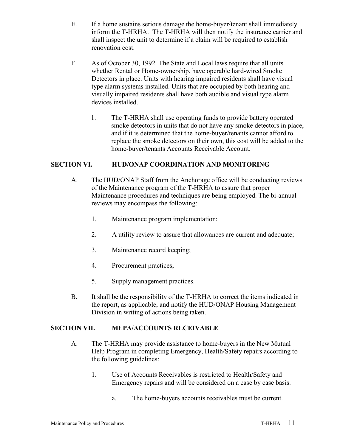- E. If a home sustains serious damage the home-buyer/tenant shall immediately inform the T-HRHA. The T-HRHA will then notify the insurance carrier and shall inspect the unit to determine if a claim will be required to establish renovation cost.
- F As of October 30, 1992. The State and Local laws require that all units whether Rental or Home-ownership, have operable hard-wired Smoke Detectors in place. Units with hearing impaired residents shall have visual type alarm systems installed. Units that are occupied by both hearing and visually impaired residents shall have both audible and visual type alarm devices installed.
	- 1. The T-HRHA shall use operating funds to provide battery operated smoke detectors in units that do not have any smoke detectors in place, and if it is determined that the home-buyer/tenants cannot afford to replace the smoke detectors on their own, this cost will be added to the home-buyer/tenants Accounts Receivable Account.

#### **SECTION VI. HUD/ONAP COORDINATION AND MONITORING**

- A. The HUD/ONAP Staff from the Anchorage office will be conducting reviews of the Maintenance program of the T-HRHA to assure that proper Maintenance procedures and techniques are being employed. The bi-annual reviews may encompass the following:
	- 1. Maintenance program implementation;
	- 2. A utility review to assure that allowances are current and adequate;
	- 3. Maintenance record keeping;
	- 4. Procurement practices;
	- 5. Supply management practices.
- B. It shall be the responsibility of the T-HRHA to correct the items indicated in the report, as applicable, and notify the HUD/ONAP Housing Management Division in writing of actions being taken.

#### **SECTION VII. MEPA/ACCOUNTS RECEIVABLE**

- A. The T-HRHA may provide assistance to home-buyers in the New Mutual Help Program in completing Emergency, Health/Safety repairs according to the following guidelines:
	- 1. Use of Accounts Receivables is restricted to Health/Safety and Emergency repairs and will be considered on a case by case basis.
		- a. The home-buyers accounts receivables must be current.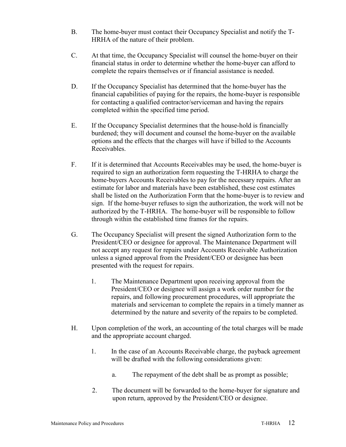- B. The home-buyer must contact their Occupancy Specialist and notify the T-HRHA of the nature of their problem.
- C. At that time, the Occupancy Specialist will counsel the home-buyer on their financial status in order to determine whether the home-buyer can afford to complete the repairs themselves or if financial assistance is needed.
- D. If the Occupancy Specialist has determined that the home-buyer has the financial capabilities of paying for the repairs, the home-buyer is responsible for contacting a qualified contractor/serviceman and having the repairs completed within the specified time period.
- E. If the Occupancy Specialist determines that the house-hold is financially burdened; they will document and counsel the home-buyer on the available options and the effects that the charges will have if billed to the Accounts Receivables.
- F. If it is determined that Accounts Receivables may be used, the home-buyer is required to sign an authorization form requesting the T-HRHA to charge the home-buyers Accounts Receivables to pay for the necessary repairs. After an estimate for labor and materials have been established, these cost estimates shall be listed on the Authorization Form that the home-buyer is to review and sign. If the home-buyer refuses to sign the authorization, the work will not be authorized by the T-HRHA. The home-buyer will be responsible to follow through within the established time frames for the repairs.
- G. The Occupancy Specialist will present the signed Authorization form to the President/CEO or designee for approval. The Maintenance Department will not accept any request for repairs under Accounts Receivable Authorization unless a signed approval from the President/CEO or designee has been presented with the request for repairs.
	- 1. The Maintenance Department upon receiving approval from the President/CEO or designee will assign a work order number for the repairs, and following procurement procedures, will appropriate the materials and serviceman to complete the repairs in a timely manner as determined by the nature and severity of the repairs to be completed.
- H. Upon completion of the work, an accounting of the total charges will be made and the appropriate account charged.
	- 1. In the case of an Accounts Receivable charge, the payback agreement will be drafted with the following considerations given:
		- a. The repayment of the debt shall be as prompt as possible;
	- 2. The document will be forwarded to the home-buyer for signature and upon return, approved by the President/CEO or designee.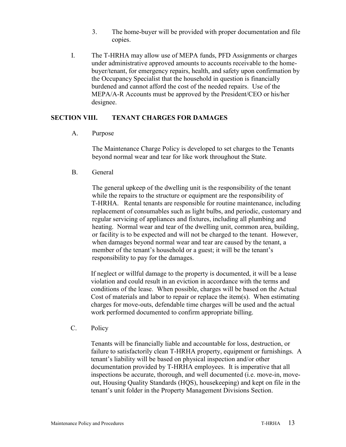- 3. The home-buyer will be provided with proper documentation and file copies.
- I. The T-HRHA may allow use of MEPA funds, PFD Assignments or charges under administrative approved amounts to accounts receivable to the homebuyer/tenant, for emergency repairs, health, and safety upon confirmation by the Occupancy Specialist that the household in question is financially burdened and cannot afford the cost of the needed repairs. Use of the MEPA/A-R Accounts must be approved by the President/CEO or his/her designee.

#### **SECTION VIII. TENANT CHARGES FOR DAMAGES**

A. Purpose

The Maintenance Charge Policy is developed to set charges to the Tenants beyond normal wear and tear for like work throughout the State.

B. General

The general upkeep of the dwelling unit is the responsibility of the tenant while the repairs to the structure or equipment are the responsibility of T-HRHA. Rental tenants are responsible for routine maintenance, including replacement of consumables such as light bulbs, and periodic, customary and regular servicing of appliances and fixtures, including all plumbing and heating. Normal wear and tear of the dwelling unit, common area, building, or facility is to be expected and will not be charged to the tenant. However, when damages beyond normal wear and tear are caused by the tenant, a member of the tenant's household or a guest; it will be the tenant's responsibility to pay for the damages.

If neglect or willful damage to the property is documented, it will be a lease violation and could result in an eviction in accordance with the terms and conditions of the lease. When possible, charges will be based on the Actual Cost of materials and labor to repair or replace the item(s). When estimating charges for move-outs, defendable time charges will be used and the actual work performed documented to confirm appropriate billing.

C. Policy

Tenants will be financially liable and accountable for loss, destruction, or failure to satisfactorily clean T-HRHA property, equipment or furnishings. A tenant's liability will be based on physical inspection and/or other documentation provided by T-HRHA employees. It is imperative that all inspections be accurate, thorough, and well documented (i.e. move-in, moveout, Housing Quality Standards (HQS), housekeeping) and kept on file in the tenant's unit folder in the Property Management Divisions Section.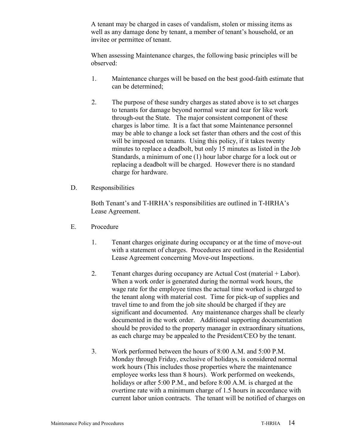A tenant may be charged in cases of vandalism, stolen or missing items as well as any damage done by tenant, a member of tenant's household, or an invitee or permittee of tenant.

When assessing Maintenance charges, the following basic principles will be observed:

- 1. Maintenance charges will be based on the best good-faith estimate that can be determined;
- 2. The purpose of these sundry charges as stated above is to set charges to tenants for damage beyond normal wear and tear for like work through-out the State. The major consistent component of these charges is labor time. It is a fact that some Maintenance personnel may be able to change a lock set faster than others and the cost of this will be imposed on tenants. Using this policy, if it takes twenty minutes to replace a deadbolt, but only 15 minutes as listed in the Job Standards, a minimum of one (1) hour labor charge for a lock out or replacing a deadbolt will be charged. However there is no standard charge for hardware.
- D. Responsibilities

Both Tenant's and T-HRHA's responsibilities are outlined in T-HRHA's Lease Agreement.

- E. Procedure
	- 1. Tenant charges originate during occupancy or at the time of move-out with a statement of charges. Procedures are outlined in the Residential Lease Agreement concerning Move-out Inspections.
	- 2. Tenant charges during occupancy are Actual Cost (material + Labor). When a work order is generated during the normal work hours, the wage rate for the employee times the actual time worked is charged to the tenant along with material cost. Time for pick-up of supplies and travel time to and from the job site should be charged if they are significant and documented. Any maintenance charges shall be clearly documented in the work order. Additional supporting documentation should be provided to the property manager in extraordinary situations, as each charge may be appealed to the President/CEO by the tenant.
	- 3. Work performed between the hours of 8:00 A.M. and 5:00 P.M. Monday through Friday, exclusive of holidays, is considered normal work hours (This includes those properties where the maintenance employee works less than 8 hours). Work performed on weekends, holidays or after 5:00 P.M., and before 8:00 A.M. is charged at the overtime rate with a minimum charge of 1.5 hours in accordance with current labor union contracts. The tenant will be notified of charges on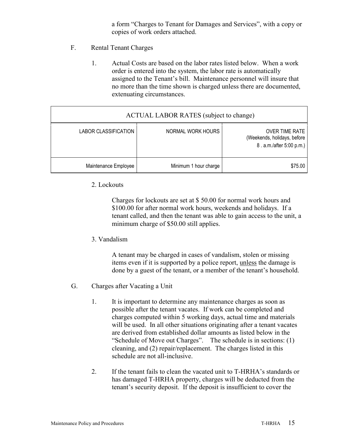a form "Charges to Tenant for Damages and Services", with a copy or copies of work orders attached.

- F. Rental Tenant Charges
	- 1. Actual Costs are based on the labor rates listed below. When a work order is entered into the system, the labor rate is automatically assigned to the Tenant's bill. Maintenance personnel will insure that no more than the time shown is charged unless there are documented, extenuating circumstances.

| <b>ACTUAL LABOR RATES</b> (subject to change) |                       |                                                                                  |  |  |  |  |  |
|-----------------------------------------------|-----------------------|----------------------------------------------------------------------------------|--|--|--|--|--|
| LABOR CLASSIFICATION                          | NORMAL WORK HOURS     | <b>OVER TIME RATE</b><br>(Weekends, holidays, before<br>8. a.m./after 5:00 p.m.) |  |  |  |  |  |
| Maintenance Employee                          | Minimum 1 hour charge | \$75.00                                                                          |  |  |  |  |  |

#### 2. Lockouts

Charges for lockouts are set at \$ 50.00 for normal work hours and \$100.00 for after normal work hours, weekends and holidays. If a tenant called, and then the tenant was able to gain access to the unit, a minimum charge of \$50.00 still applies.

3. Vandalism

A tenant may be charged in cases of vandalism, stolen or missing items even if it is supported by a police report, unless the damage is done by a guest of the tenant, or a member of the tenant's household.

- G. Charges after Vacating a Unit
	- 1. It is important to determine any maintenance charges as soon as possible after the tenant vacates. If work can be completed and charges computed within 5 working days, actual time and materials will be used. In all other situations originating after a tenant vacates are derived from established dollar amounts as listed below in the "Schedule of Move out Charges". The schedule is in sections: (1) cleaning, and (2) repair/replacement. The charges listed in this schedule are not all-inclusive.
	- 2. If the tenant fails to clean the vacated unit to T-HRHA's standards or has damaged T-HRHA property, charges will be deducted from the tenant's security deposit. If the deposit is insufficient to cover the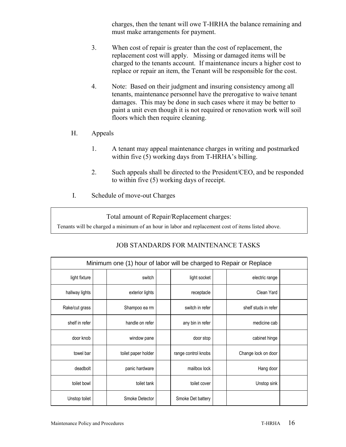charges, then the tenant will owe T-HRHA the balance remaining and must make arrangements for payment.

- 3. When cost of repair is greater than the cost of replacement, the replacement cost will apply. Missing or damaged items will be charged to the tenants account. If maintenance incurs a higher cost to replace or repair an item, the Tenant will be responsible for the cost.
- 4. Note: Based on their judgment and insuring consistency among all tenants, maintenance personnel have the prerogative to waive tenant damages. This may be done in such cases where it may be better to paint a unit even though it is not required or renovation work will soil floors which then require cleaning.
- H. Appeals
	- 1. A tenant may appeal maintenance charges in writing and postmarked within five (5) working days from T-HRHA's billing.
	- 2. Such appeals shall be directed to the President/CEO, and be responded to within five (5) working days of receipt.
- I. Schedule of move-out Charges

Total amount of Repair/Replacement charges:

Tenants will be charged a minimum of an hour in labor and replacement cost of items listed above.

| Minimum one (1) hour of labor will be charged to Repair or Replace |  |                     |  |                     |  |                      |  |  |  |
|--------------------------------------------------------------------|--|---------------------|--|---------------------|--|----------------------|--|--|--|
| light fixture                                                      |  | switch              |  | light socket        |  | electric range       |  |  |  |
| hallway lights                                                     |  | exterior lights     |  | receptacle          |  | Clean Yard           |  |  |  |
| Rake/cut grass                                                     |  | Shampoo ea rm       |  | switch in refer     |  | shelf studs in refer |  |  |  |
| shelf in refer                                                     |  | handle on refer     |  | any bin in refer    |  | medicine cab         |  |  |  |
| door knob                                                          |  | window pane         |  | door stop           |  | cabinet hinge        |  |  |  |
| towel bar                                                          |  | toilet paper holder |  | range control knobs |  | Change lock on door  |  |  |  |
| deadbolt                                                           |  | panic hardware      |  | mailbox lock        |  | Hang door            |  |  |  |
| toilet bowl                                                        |  | toilet tank         |  | toilet cover        |  | Unstop sink          |  |  |  |
| Unstop toilet                                                      |  | Smoke Detector      |  | Smoke Det battery   |  |                      |  |  |  |

#### JOB STANDARDS FOR MAINTENANCE TASKS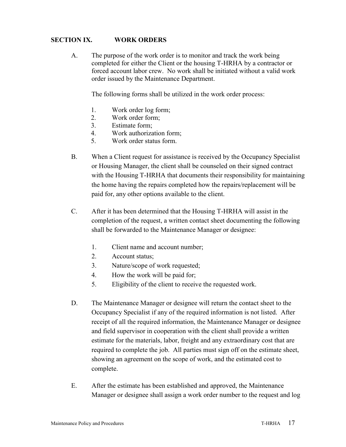#### **SECTION IX. WORK ORDERS**

A. The purpose of the work order is to monitor and track the work being completed for either the Client or the housing T-HRHA by a contractor or forced account labor crew. No work shall be initiated without a valid work order issued by the Maintenance Department.

The following forms shall be utilized in the work order process:

- 1. Work order log form;
- 2. Work order form;
- 3. Estimate form;
- 4. Work authorization form;
- 5. Work order status form.
- B. When a Client request for assistance is received by the Occupancy Specialist or Housing Manager, the client shall be counseled on their signed contract with the Housing T-HRHA that documents their responsibility for maintaining the home having the repairs completed how the repairs/replacement will be paid for, any other options available to the client.
- C. After it has been determined that the Housing T-HRHA will assist in the completion of the request, a written contact sheet documenting the following shall be forwarded to the Maintenance Manager or designee:
	- 1. Client name and account number;
	- 2. Account status;
	- 3. Nature/scope of work requested;
	- 4. How the work will be paid for;
	- 5. Eligibility of the client to receive the requested work.
- D. The Maintenance Manager or designee will return the contact sheet to the Occupancy Specialist if any of the required information is not listed. After receipt of all the required information, the Maintenance Manager or designee and field supervisor in cooperation with the client shall provide a written estimate for the materials, labor, freight and any extraordinary cost that are required to complete the job. All parties must sign off on the estimate sheet, showing an agreement on the scope of work, and the estimated cost to complete.
- E. After the estimate has been established and approved, the Maintenance Manager or designee shall assign a work order number to the request and log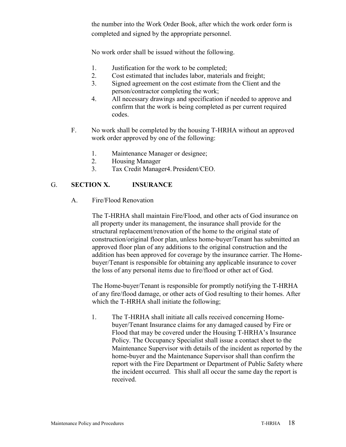the number into the Work Order Book, after which the work order form is completed and signed by the appropriate personnel.

No work order shall be issued without the following.

- 1. Justification for the work to be completed;
- 2. Cost estimated that includes labor, materials and freight;
- 3. Signed agreement on the cost estimate from the Client and the person/contractor completing the work;
- 4. All necessary drawings and specification if needed to approve and confirm that the work is being completed as per current required codes.
- F. No work shall be completed by the housing T-HRHA without an approved work order approved by one of the following:
	- 1. Maintenance Manager or designee;
	- 2. Housing Manager
	- 3. Tax Credit Manager4. President/CEO.

#### G. **SECTION X. INSURANCE**

A. Fire/Flood Renovation

The T-HRHA shall maintain Fire/Flood, and other acts of God insurance on all property under its management, the insurance shall provide for the structural replacement/renovation of the home to the original state of construction/original floor plan, unless home-buyer/Tenant has submitted an approved floor plan of any additions to the original construction and the addition has been approved for coverage by the insurance carrier. The Homebuyer/Tenant is responsible for obtaining any applicable insurance to cover the loss of any personal items due to fire/flood or other act of God.

The Home-buyer/Tenant is responsible for promptly notifying the T-HRHA of any fire/flood damage, or other acts of God resulting to their homes. After which the T-HRHA shall initiate the following;

1. The T-HRHA shall initiate all calls received concerning Homebuyer/Tenant Insurance claims for any damaged caused by Fire or Flood that may be covered under the Housing T-HRHA's Insurance Policy. The Occupancy Specialist shall issue a contact sheet to the Maintenance Supervisor with details of the incident as reported by the home-buyer and the Maintenance Supervisor shall than confirm the report with the Fire Department or Department of Public Safety where the incident occurred. This shall all occur the same day the report is received.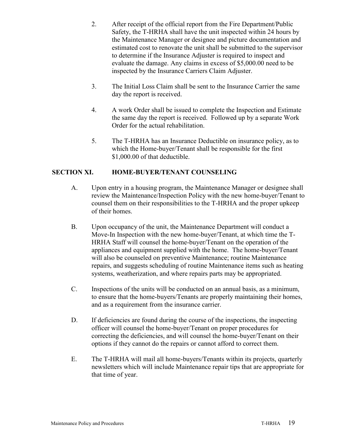- 2. After receipt of the official report from the Fire Department/Public Safety, the T-HRHA shall have the unit inspected within 24 hours by the Maintenance Manager or designee and picture documentation and estimated cost to renovate the unit shall be submitted to the supervisor to determine if the Insurance Adjuster is required to inspect and evaluate the damage. Any claims in excess of \$5,000.00 need to be inspected by the Insurance Carriers Claim Adjuster.
- 3. The Initial Loss Claim shall be sent to the Insurance Carrier the same day the report is received.
- 4. A work Order shall be issued to complete the Inspection and Estimate the same day the report is received. Followed up by a separate Work Order for the actual rehabilitation.
- 5. The T-HRHA has an Insurance Deductible on insurance policy, as to which the Home-buyer/Tenant shall be responsible for the first \$1,000.00 of that deductible.

#### **SECTION XI. HOME-BUYER/TENANT COUNSELING**

- A. Upon entry in a housing program, the Maintenance Manager or designee shall review the Maintenance/Inspection Policy with the new home-buyer/Tenant to counsel them on their responsibilities to the T-HRHA and the proper upkeep of their homes.
- B. Upon occupancy of the unit, the Maintenance Department will conduct a Move-In Inspection with the new home-buyer/Tenant, at which time the T-HRHA Staff will counsel the home-buyer/Tenant on the operation of the appliances and equipment supplied with the home. The home-buyer/Tenant will also be counseled on preventive Maintenance; routine Maintenance repairs, and suggests scheduling of routine Maintenance items such as heating systems, weatherization, and where repairs parts may be appropriated.
- C. Inspections of the units will be conducted on an annual basis, as a minimum, to ensure that the home-buyers/Tenants are properly maintaining their homes, and as a requirement from the insurance carrier.
- D. If deficiencies are found during the course of the inspections, the inspecting officer will counsel the home-buyer/Tenant on proper procedures for correcting the deficiencies, and will counsel the home-buyer/Tenant on their options if they cannot do the repairs or cannot afford to correct them.
- E. The T-HRHA will mail all home-buyers/Tenants within its projects, quarterly newsletters which will include Maintenance repair tips that are appropriate for that time of year.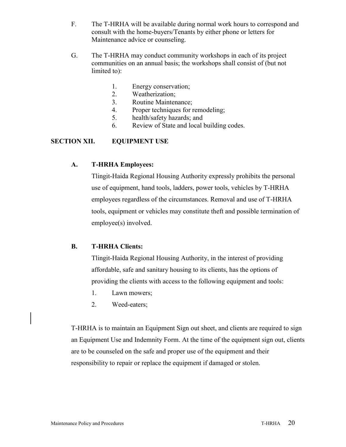- F. The T-HRHA will be available during normal work hours to correspond and consult with the home-buyers/Tenants by either phone or letters for Maintenance advice or counseling.
- G. The T-HRHA may conduct community workshops in each of its project communities on an annual basis; the workshops shall consist of (but not limited to):
	- 1. Energy conservation;
	- 2. Weatherization;
	- 3. Routine Maintenance;
	- 4. Proper techniques for remodeling;
	- 5. health/safety hazards; and
	- 6. Review of State and local building codes.

#### **SECTION XII. EQUIPMENT USE**

#### **A. T-HRHA Employees:**

Tlingit-Haida Regional Housing Authority expressly prohibits the personal use of equipment, hand tools, ladders, power tools, vehicles by T-HRHA employees regardless of the circumstances. Removal and use of T-HRHA tools, equipment or vehicles may constitute theft and possible termination of employee(s) involved.

#### **B. T-HRHA Clients:**

Tlingit-Haida Regional Housing Authority, in the interest of providing affordable, safe and sanitary housing to its clients, has the options of providing the clients with access to the following equipment and tools:

- 1. Lawn mowers;
- 2. Weed-eaters;

T-HRHA is to maintain an Equipment Sign out sheet, and clients are required to sign an Equipment Use and Indemnity Form. At the time of the equipment sign out, clients are to be counseled on the safe and proper use of the equipment and their responsibility to repair or replace the equipment if damaged or stolen.